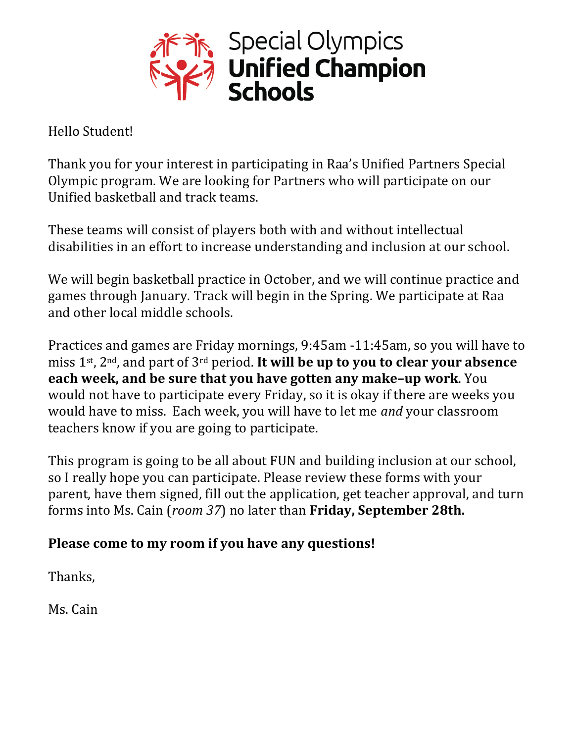

Hello Student!

Thank you for your interest in participating in Raa's Unified Partners Special Olympic program. We are looking for Partners who will participate on our Unified basketball and track teams.

These teams will consist of players both with and without intellectual disabilities in an effort to increase understanding and inclusion at our school.

We will begin basketball practice in October, and we will continue practice and games through January. Track will begin in the Spring. We participate at Raa and other local middle schools.

Practices and games are Friday mornings, 9:45am -11:45am, so you will have to miss 1<sup>st</sup>, 2<sup>nd</sup>, and part of 3<sup>rd</sup> period. **It will be up to you to clear your absence each week, and be sure that you have gotten any make-up work**. You would not have to participate every Friday, so it is okay if there are weeks you would have to miss. Each week, you will have to let me *and* your classroom teachers know if you are going to participate.

This program is going to be all about FUN and building inclusion at our school, so I really hope you can participate. Please review these forms with your parent, have them signed, fill out the application, get teacher approval, and turn forms into Ms. Cain (*room 37*) no later than **Friday, September 28th.** 

## Please come to my room if you have any questions!

Thanks,

Ms. Cain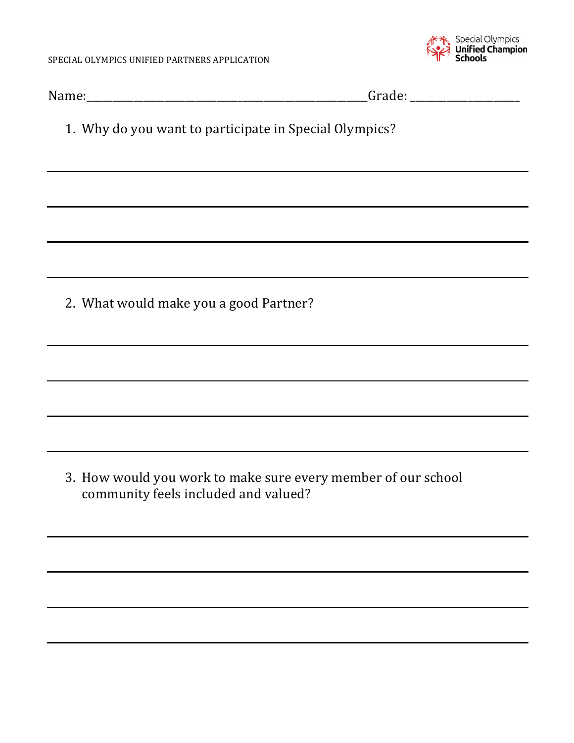

| 1. Why do you want to participate in Special Olympics?                                                           |  |
|------------------------------------------------------------------------------------------------------------------|--|
| and the control of the control of the control of the control of the control of the control of the control of the |  |
|                                                                                                                  |  |
|                                                                                                                  |  |
| 2. What would make you a good Partner?                                                                           |  |
|                                                                                                                  |  |
|                                                                                                                  |  |
|                                                                                                                  |  |
| 3. How would you work to make sure every member of our school<br>community feels included and valued?            |  |
|                                                                                                                  |  |